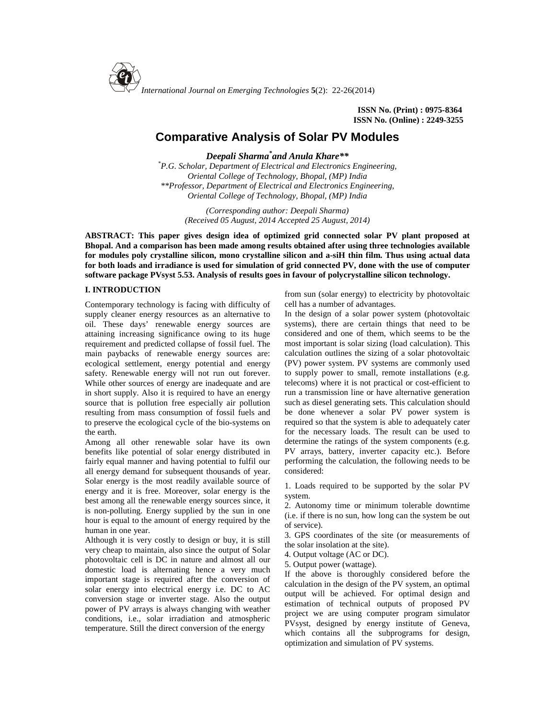

**ISSN No. (Print) : 0975-8364 ISSN No. (Online) : 2249-3255**

# **Comparative Analysis of Solar PV Modules**

*Deepali Sharma\*and Anula Khare\*\**

*\*P.G. Scholar, Department of Electrical and Electronics Engineering, Oriental College of Technology, Bhopal, (MP) India \*\*Professor, Department of Electrical and Electronics Engineering, Oriental College of Technology, Bhopal, (MP) India*

> *(Corresponding author: Deepali Sharma) (Received 05 August, 2014 Accepted 25 August, 2014)*

**ABSTRACT: This paper gives design idea of optimized grid connected solar PV plant proposed at Bhopal. And a comparison has been made among results obtained after using three technologies available for modules poly crystalline silicon, mono crystalline silicon and a-siH thin film. Thus using actual data for both loads and irradiance is used for simulation of grid connected PV, done with the use of computer software package PVsyst 5.53. Analysis of results goes in favour of polycrystalline silicon technology.**

## **I. INTRODUCTION**

Contemporary technology is facing with difficulty of supply cleaner energy resources as an alternative to oil. These days' renewable energy sources are attaining increasing significance owing to its huge requirement and predicted collapse of fossil fuel. The main paybacks of renewable energy sources are: ecological settlement, energy potential and energy safety. Renewable energy will not run out forever. While other sources of energy are inadequate and are in short supply. Also it is required to have an energy source that is pollution free especially air pollution resulting from mass consumption of fossil fuels and to preserve the ecological cycle of the bio-systems on the earth.

Among all other renewable solar have its own benefits like potential of solar energy distributed in fairly equal manner and having potential to fulfil our all energy demand for subsequent thousands of year. Solar energy is the most readily available source of energy and it is free. Moreover, solar energy is the best among all the renewable energy sources since, it is non-polluting. Energy supplied by the sun in one hour is equal to the amount of energy required by the human in one year.

Although it is very costly to design or buy, it is still very cheap to maintain, also since the output of Solar photovoltaic cell is DC in nature and almost all our domestic load is alternating hence a very much important stage is required after the conversion of solar energy into electrical energy i.e. DC to AC conversion stage or inverter stage. Also the output power of PV arrays is always changing with weather conditions, i.e., solar irradiation and atmospheric temperature. Still the direct conversion of the energy

from sun (solar energy) to electricity by photovoltaic cell has a number of advantages.

In the design of a solar power system (photovoltaic systems), there are certain things that need to be considered and one of them, which seems to be the most important is solar sizing (load calculation). This calculation outlines the sizing of a solar photovoltaic (PV) power system. PV systems are commonly used to supply power to small, remote installations (e.g. telecoms) where it is not practical or cost-efficient to run a transmission line or have alternative generation such as diesel generating sets. This calculation should be done whenever a solar PV power system is required so that the system is able to adequately cater for the necessary loads. The result can be used to determine the ratings of the system components (e.g. PV arrays, battery, inverter capacity etc.). Before performing the calculation, the following needs to be considered:

1. Loads required to be supported by the solar PV system.

2. Autonomy time or minimum tolerable downtime (i.e. if there is no sun, how long can the system be out of service).

3. GPS coordinates of the site (or measurements of the solar insolation at the site).

4. Output voltage (AC or DC).

5. Output power (wattage).

If the above is thoroughly considered before the calculation in the design of the PV system, an optimal output will be achieved. For optimal design and estimation of technical outputs of proposed PV project we are using computer program simulator PVsyst, designed by energy institute of Geneva, which contains all the subprograms for design, optimization and simulation of PV systems.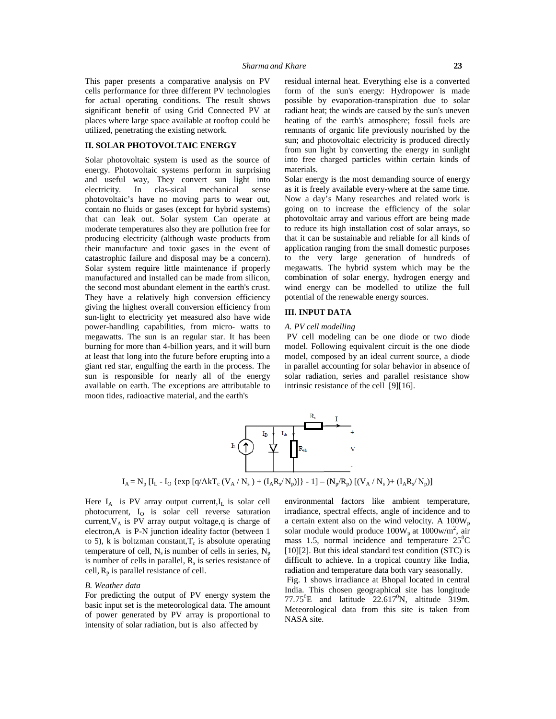This paper presents a comparative analysis on PV cells performance for three different PV technologies for actual operating conditions. The result shows significant benefit of using Grid Connected PV at places where large space available at rooftop could be utilized, penetrating the existing network.

#### **II. SOLAR PHOTOVOLTAIC ENERGY**

Solar photovoltaic system is used as the source of energy. Photovoltaic systems perform in surprising and useful way, They convert sun light into electricity. In clas-sical mechanical sense photovoltaic's have no moving parts to wear out, contain no fluids or gases (except for hybrid systems) that can leak out. Solar system Can operate at moderate temperatures also they are pollution free for producing electricity (although waste products from their manufacture and toxic gases in the event of catastrophic failure and disposal may be a concern). Solar system require little maintenance if properly manufactured and installed can be made from silicon, the second most abundant element in the earth's crust. They have a relatively high conversion efficiency giving the highest overall conversion efficiency from sun-light to electricity yet measured also have wide power-handling capabilities, from micro- watts to megawatts. The sun is an regular star. It has been burning for more than 4-billion years, and it will burn at least that long into the future before erupting into a giant red star, engulfing the earth in the process. The sun is responsible for nearly all of the energy available on earth. The exceptions are attributable to moon tides, radioactive material, and the earth's

residual internal heat. Everything else is a converted form of the sun's energy: Hydropower is made possible by evaporation-transpiration due to solar radiant heat; the winds are caused by the sun's uneven heating of the earth's atmosphere; fossil fuels are remnants of organic life previously nourished by the sun; and photovoltaic electricity is produced directly from sun light by converting the energy in sunlight into free charged particles within certain kinds of materials.

Solar energy is the most demanding source of energy as it is freely available every-where at the same time. Now a day's Many researches and related work is going on to increase the efficiency of the solar photovoltaic array and various effort are being made to reduce its high installation cost of solar arrays, so that it can be sustainable and reliable for all kinds of application ranging from the small domestic purposes to the very large generation of hundreds of megawatts. The hybrid system which may be the combination of solar energy, hydrogen energy and wind energy can be modelled to utilize the full potential of the renewable energy sources.

## **III. INPUT DATA**

#### *A. PV cell modelling*

PV cell modeling can be one diode or two diode model. Following equivalent circuit is the one diode model, composed by an ideal current source, a diode in parallel accounting for solar behavior in absence of solar radiation, series and parallel resistance show intrinsic resistance of the cell [9][16].



Here  $I_A$  is PV array output current, $I_L$  is solar cell photocurrent, I<sub>O</sub> is solar cell reverse saturation current, $V_A$  is PV array output voltage, q is charge of electron,A is P-N junction ideality factor (between 1 to 5), k is boltzman constant,  $T_c$  is absolute operating mass temperature of cell,  $N_s$  is number of cells in series,  $N_p$ is number of cells in parallel,  $R_s$  is series resistance of cell,  $R_p$  is parallel resistance of cell.

#### *B. Weather data*

For predicting the output of PV energy system the basic input set is the meteorological data. The amount of power generated by PV array is proportional to intensity of solar radiation, but is also affected by

environmental factors like ambient temperature, irradiance, spectral effects, angle of incidence and to a certain extent also on the wind velocity. A  $100W_p$ solar module would produce  $100W_p$  at  $1000w/m^2$ , air mass 1.5, normal incidence and temperature  $25^{\circ}$ C [10][2]. But this ideal standard test condition (STC) is difficult to achieve. In a tropical country like India, radiation and temperature data both vary seasonally.

Fig. 1 shows irradiance at Bhopal located in central India. This chosen geographical site has longitude 77.75 $^{\circ}$ E and latitude 22.617 $^{\circ}$ N, altitude 319m. Meteorological data from this site is taken from NASA site.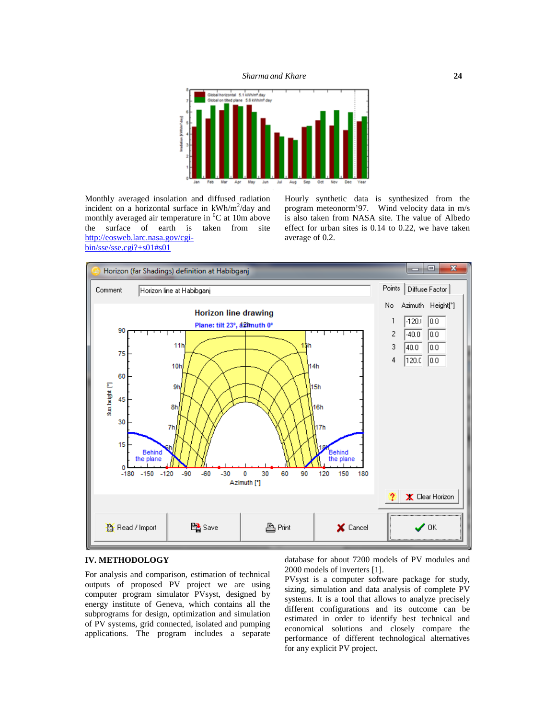

Monthly averaged insolation and diffused radiation incident on a horizontal surface in  $kWh/m^2/day$  and program monthly averaged air temperature in  ${}^{0}C$  at 10m above the surface of earth is taken from site [http://eosweb.larc.nasa.gov/cgi](http://eosweb.larc.nasa.gov/cgi-) bin/sse/sse.cgi?+s01#s01

Hourly synthetic data is synthesized from the program meteonorm'97. Wind velocity data in m/s is also taken from NASA site. The value of Albedo effect for urban sites is 0.14 to 0.22, we have taken average of 0.2.



#### **IV. METHODOLOGY**

For analysis and comparison, estimation of technical outputs of proposed PV project we are using computer program simulator PVsyst, designed by energy institute of Geneva, which contains all the subprograms for design, optimization and simulation of PV systems, grid connected, isolated and pumping applications. The program includes a separate database for about 7200 models of PV modules and 2000 models of inverters [1].

PVsyst is a computer software package for study, sizing, simulation and data analysis of complete PV systems. It is a tool that allows to analyze precisely different configurations and its outcome can be estimated in order to identify best technical and economical solutions and closely compare the performance of different technological alternatives for any explicit PV project.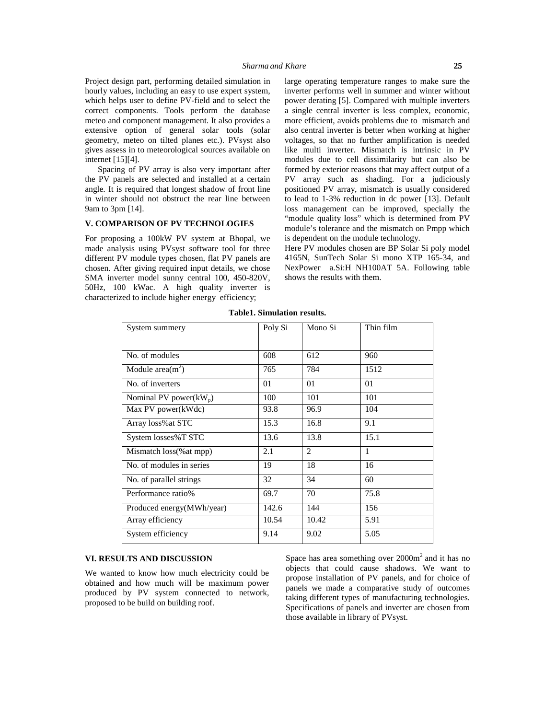Project design part, performing detailed simulation in hourly values, including an easy to use expert system, which helps user to define PV-field and to select the correct components. Tools perform the database meteo and component management. It also provides a extensive option of general solar tools (solar geometry, meteo on tilted planes etc.). PVsyst also gives assess in to meteorological sources available on internet [15][4].

Spacing of PV array is also very important after the PV panels are selected and installed at a certain angle. It is required that longest shadow of front line in winter should not obstruct the rear line between 9am to 3pm [14].

# **V. COMPARISON OF PV TECHNOLOGIES**

For proposing a 100kW PV system at Bhopal, we made analysis using PVsyst software tool for three different PV module types chosen, flat PV panels are chosen. After giving required input details, we chose SMA inverter model sunny central 100, 450-820V, 50Hz, 100 kWac. A high quality inverter is characterized to include higher energy efficiency;

large operating temperature ranges to make sure the inverter performs well in summer and winter without power derating [5]. Compared with multiple inverters a single central inverter is less complex, economic, more efficient, avoids problems due to mismatch and also central inverter is better when working at higher voltages, so that no further amplification is needed like multi inverter. Mismatch is intrinsic in PV modules due to cell dissimilarity but can also be formed by exterior reasons that may affect output of a PV array such as shading. For a judiciously positioned PV array, mismatch is usually considered to lead to 1-3% reduction in dc power [13]. Default loss management can be improved, specially the "module quality loss" which is determined from PV module's tolerance and the mismatch on Pmpp which is dependent on the module technology.

Here PV modules chosen are BP Solar Si poly model 4165N, SunTech Solar Si mono XTP 165-34, and NexPower a.Si:H NH100AT 5A. Following table shows the results with them.

| System summery            | Poly Si | Mono Si | Thin film |
|---------------------------|---------|---------|-----------|
|                           |         |         |           |
| No. of modules            | 608     | 612     | 960       |
| Module area $(m2)$        | 765     | 784     | 1512      |
| No. of inverters          | 01      | 01      | 01        |
| Nominal PV power $(kW_p)$ | 100     | 101     | 101       |
| Max PV power(kWdc)        | 93.8    | 96.9    | 104       |
| Array loss% at STC        | 15.3    | 16.8    | 9.1       |
| System losses%T STC       | 13.6    | 13.8    | 15.1      |
| Mismatch loss (% at mpp)  | 2.1     | 2       | 1         |
| No. of modules in series  | 19      | 18      | 16        |
| No. of parallel strings   | 32      | 34      | 60        |
| Performance ratio%        | 69.7    | 70      | 75.8      |
| Produced energy(MWh/year) | 142.6   | 144     | 156       |
| Array efficiency          | 10.54   | 10.42   | 5.91      |
| System efficiency         | 9.14    | 9.02    | 5.05      |

**Table1. Simulation results.**

# **VI. RESULTS AND DISCUSSION**

We wanted to know how much electricity could be obtained and how much will be maximum power produced by PV system connected to network, proposed to be build on building roof.

Space has area something over  $2000m<sup>2</sup>$  and it has no objects that could cause shadows. We want to propose installation of PV panels, and for choice of panels we made a comparative study of outcomes taking different types of manufacturing technologies. Specifications of panels and inverter are chosen from those available in library of PVsyst.